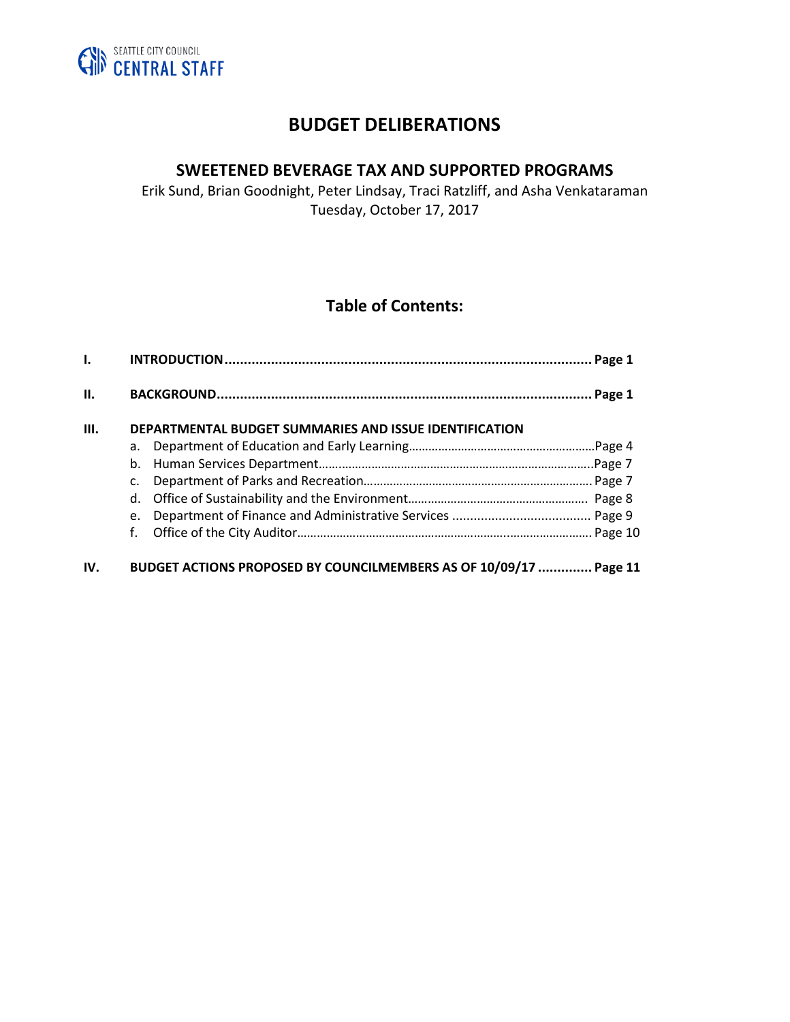

# **BUDGET DELIBERATIONS**

# **SWEETENED BEVERAGE TAX AND SUPPORTED PROGRAMS**

Erik Sund, Brian Goodnight, Peter Lindsay, Traci Ratzliff, and Asha Venkataraman Tuesday, October 17, 2017

# **Table of Contents:**

| Ъ.   |                                                                   | Page 1 |  |
|------|-------------------------------------------------------------------|--------|--|
| II.  |                                                                   |        |  |
| III. | DEPARTMENTAL BUDGET SUMMARIES AND ISSUE IDENTIFICATION            |        |  |
|      | a.                                                                |        |  |
|      | b.                                                                |        |  |
|      | c.                                                                |        |  |
|      | d.                                                                |        |  |
|      | e.                                                                |        |  |
|      | f.                                                                |        |  |
| IV.  | BUDGET ACTIONS PROPOSED BY COUNCILMEMBERS AS OF 10/09/17  Page 11 |        |  |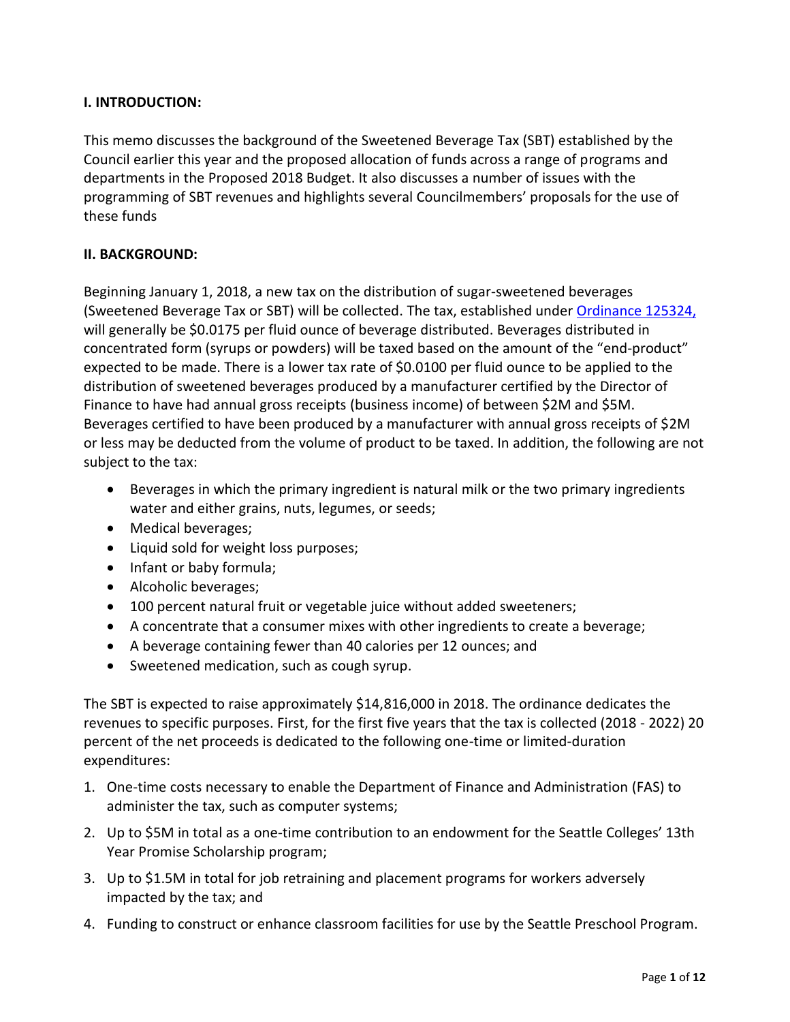## **I. INTRODUCTION:**

This memo discusses the background of the Sweetened Beverage Tax (SBT) established by the Council earlier this year and the proposed allocation of funds across a range of programs and departments in the Proposed 2018 Budget. It also discusses a number of issues with the programming of SBT revenues and highlights several Councilmembers' proposals for the use of these funds

### **II. BACKGROUND:**

Beginning January 1, 2018, a new tax on the distribution of sugar-sweetened beverages (Sweetened Beverage Tax or SBT) will be collected. The tax, established under [Ordinance 125324,](https://seattle.legistar.com/LegislationDetail.aspx?ID=3034243&GUID=E03CE985-3AC8-4A3F-81AF-B6E43CEE6C90&Options=Advanced&Search=) will generally be \$0.0175 per fluid ounce of beverage distributed. Beverages distributed in concentrated form (syrups or powders) will be taxed based on the amount of the "end-product" expected to be made. There is a lower tax rate of \$0.0100 per fluid ounce to be applied to the distribution of sweetened beverages produced by a manufacturer certified by the Director of Finance to have had annual gross receipts (business income) of between \$2M and \$5M. Beverages certified to have been produced by a manufacturer with annual gross receipts of \$2M or less may be deducted from the volume of product to be taxed. In addition, the following are not subject to the tax:

- Beverages in which the primary ingredient is natural milk or the two primary ingredients water and either grains, nuts, legumes, or seeds;
- Medical beverages;
- Liquid sold for weight loss purposes;
- Infant or baby formula;
- Alcoholic beverages;
- 100 percent natural fruit or vegetable juice without added sweeteners;
- A concentrate that a consumer mixes with other ingredients to create a beverage;
- A beverage containing fewer than 40 calories per 12 ounces; and
- Sweetened medication, such as cough syrup.

The SBT is expected to raise approximately \$14,816,000 in 2018. The ordinance dedicates the revenues to specific purposes. First, for the first five years that the tax is collected (2018 - 2022) 20 percent of the net proceeds is dedicated to the following one-time or limited-duration expenditures:

- 1. One-time costs necessary to enable the Department of Finance and Administration (FAS) to administer the tax, such as computer systems;
- 2. Up to \$5M in total as a one-time contribution to an endowment for the Seattle Colleges' 13th Year Promise Scholarship program;
- 3. Up to \$1.5M in total for job retraining and placement programs for workers adversely impacted by the tax; and
- 4. Funding to construct or enhance classroom facilities for use by the Seattle Preschool Program.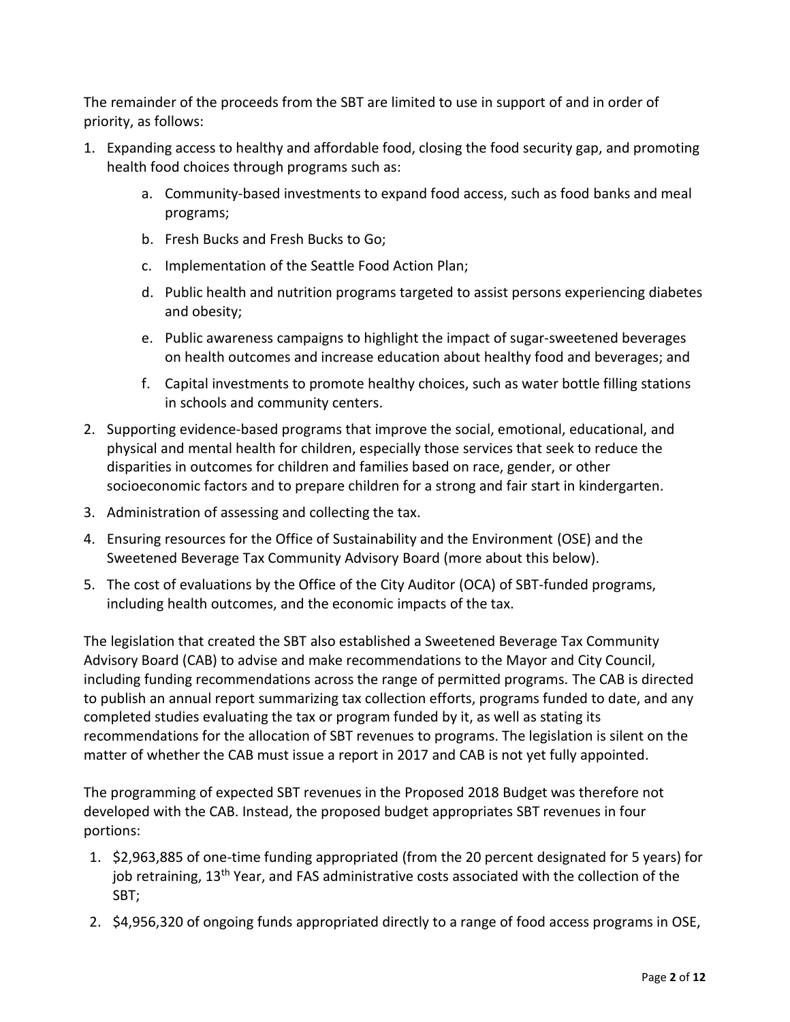The remainder of the proceeds from the SBT are limited to use in support of and in order of priority, as follows:

- 1. Expanding access to healthy and affordable food, closing the food security gap, and promoting health food choices through programs such as:
	- a. Community-based investments to expand food access, such as food banks and meal programs;
	- b. Fresh Bucks and Fresh Bucks to Go;
	- c. Implementation of the Seattle Food Action Plan;
	- d. Public health and nutrition programs targeted to assist persons experiencing diabetes and obesity;
	- e. Public awareness campaigns to highlight the impact of sugar-sweetened beverages on health outcomes and increase education about healthy food and beverages; and
	- f. Capital investments to promote healthy choices, such as water bottle filling stations in schools and community centers.
- 2. Supporting evidence-based programs that improve the social, emotional, educational, and physical and mental health for children, especially those services that seek to reduce the disparities in outcomes for children and families based on race, gender, or other socioeconomic factors and to prepare children for a strong and fair start in kindergarten.
- 3. Administration of assessing and collecting the tax.
- 4. Ensuring resources for the Office of Sustainability and the Environment (OSE) and the Sweetened Beverage Tax Community Advisory Board (more about this below).
- 5. The cost of evaluations by the Office of the City Auditor (OCA) of SBT-funded programs, including health outcomes, and the economic impacts of the tax.

The legislation that created the SBT also established a Sweetened Beverage Tax Community Advisory Board (CAB) to advise and make recommendations to the Mayor and City Council, including funding recommendations across the range of permitted programs. The CAB is directed to publish an annual report summarizing tax collection efforts, programs funded to date, and any completed studies evaluating the tax or program funded by it, as well as stating its recommendations for the allocation of SBT revenues to programs. The legislation is silent on the matter of whether the CAB must issue a report in 2017 and CAB is not yet fully appointed.

The programming of expected SBT revenues in the Proposed 2018 Budget was therefore not developed with the CAB. Instead, the proposed budget appropriates SBT revenues in four portions:

- 1. \$2,963,885 of one-time funding appropriated (from the 20 percent designated for 5 years) for job retraining, 13<sup>th</sup> Year, and FAS administrative costs associated with the collection of the SBT;
- 2. \$4,956,320 of ongoing funds appropriated directly to a range of food access programs in OSE,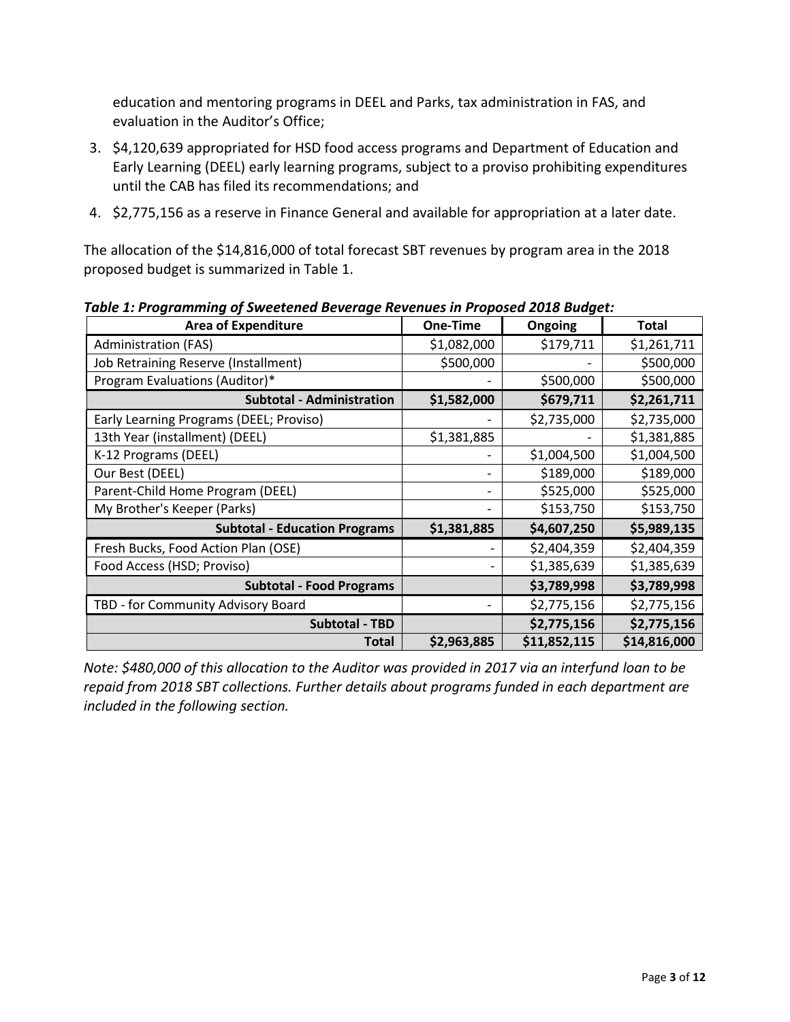education and mentoring programs in DEEL and Parks, tax administration in FAS, and evaluation in the Auditor's Office;

- 3. \$4,120,639 appropriated for HSD food access programs and Department of Education and Early Learning (DEEL) early learning programs, subject to a proviso prohibiting expenditures until the CAB has filed its recommendations; and
- 4. \$2,775,156 as a reserve in Finance General and available for appropriation at a later date.

The allocation of the \$14,816,000 of total forecast SBT revenues by program area in the 2018 proposed budget is summarized in Table 1.

| <b>Area of Expenditure</b>              | One-Time    | <b>Ongoing</b> | Total        |
|-----------------------------------------|-------------|----------------|--------------|
| <b>Administration (FAS)</b>             | \$1,082,000 | \$179,711      | \$1,261,711  |
| Job Retraining Reserve (Installment)    | \$500,000   |                | \$500,000    |
| Program Evaluations (Auditor)*          |             | \$500,000      | \$500,000    |
| <b>Subtotal - Administration</b>        | \$1,582,000 | \$679,711      | \$2,261,711  |
| Early Learning Programs (DEEL; Proviso) |             | \$2,735,000    | \$2,735,000  |
| 13th Year (installment) (DEEL)          | \$1,381,885 |                | \$1,381,885  |
| K-12 Programs (DEEL)                    |             | \$1,004,500    | \$1,004,500  |
| Our Best (DEEL)                         |             | \$189,000      | \$189,000    |
| Parent-Child Home Program (DEEL)        |             | \$525,000      | \$525,000    |
| My Brother's Keeper (Parks)             |             | \$153,750      | \$153,750    |
| <b>Subtotal - Education Programs</b>    | \$1,381,885 | \$4,607,250    | \$5,989,135  |
| Fresh Bucks, Food Action Plan (OSE)     |             | \$2,404,359    | \$2,404,359  |
| Food Access (HSD; Proviso)              |             | \$1,385,639    | \$1,385,639  |
| <b>Subtotal - Food Programs</b>         |             | \$3,789,998    | \$3,789,998  |
| TBD - for Community Advisory Board      |             | \$2,775,156    | \$2,775,156  |
| <b>Subtotal - TBD</b>                   |             | \$2,775,156    | \$2,775,156  |
| <b>Total</b>                            | \$2,963,885 | \$11,852,115   | \$14,816,000 |

*Table 1: Programming of Sweetened Beverage Revenues in Proposed 2018 Budget:*

*Note: \$480,000 of this allocation to the Auditor was provided in 2017 via an interfund loan to be repaid from 2018 SBT collections. Further details about programs funded in each department are included in the following section.*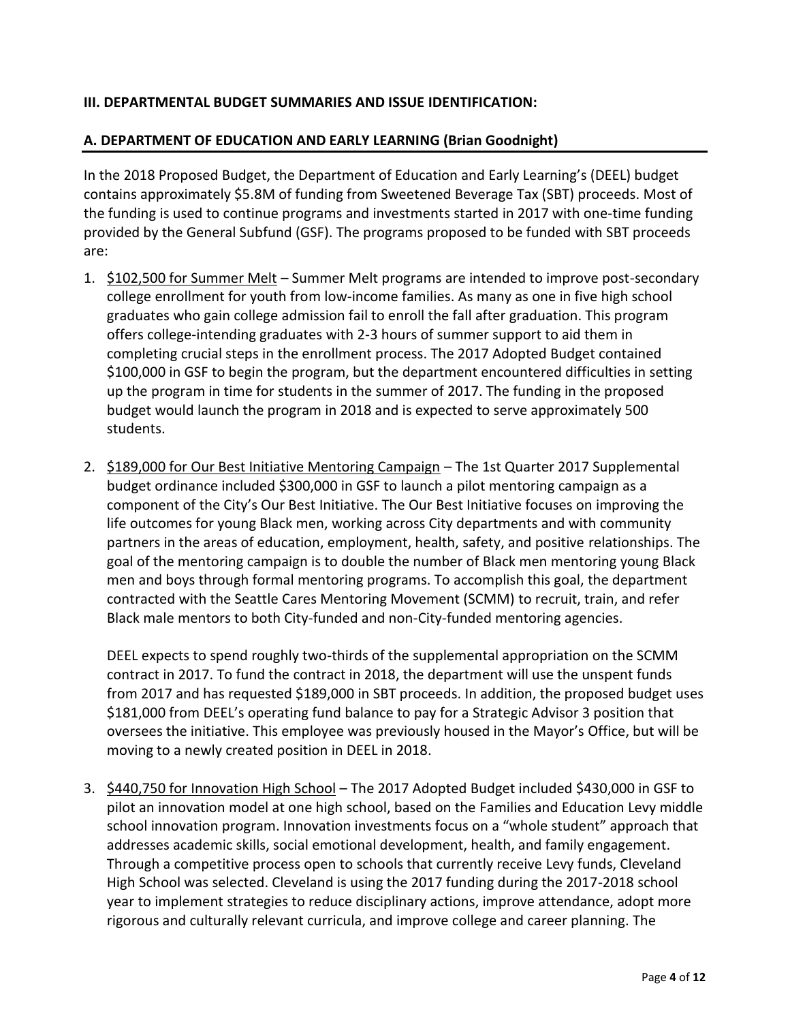# **III. DEPARTMENTAL BUDGET SUMMARIES AND ISSUE IDENTIFICATION:**

# **A. DEPARTMENT OF EDUCATION AND EARLY LEARNING (Brian Goodnight)**

In the 2018 Proposed Budget, the Department of Education and Early Learning's (DEEL) budget contains approximately \$5.8M of funding from Sweetened Beverage Tax (SBT) proceeds. Most of the funding is used to continue programs and investments started in 2017 with one-time funding provided by the General Subfund (GSF). The programs proposed to be funded with SBT proceeds are:

- 1. \$102,500 for Summer Melt Summer Melt programs are intended to improve post-secondary college enrollment for youth from low-income families. As many as one in five high school graduates who gain college admission fail to enroll the fall after graduation. This program offers college-intending graduates with 2-3 hours of summer support to aid them in completing crucial steps in the enrollment process. The 2017 Adopted Budget contained \$100,000 in GSF to begin the program, but the department encountered difficulties in setting up the program in time for students in the summer of 2017. The funding in the proposed budget would launch the program in 2018 and is expected to serve approximately 500 students.
- 2. \$189,000 for Our Best Initiative Mentoring Campaign The 1st Quarter 2017 Supplemental budget ordinance included \$300,000 in GSF to launch a pilot mentoring campaign as a component of the City's Our Best Initiative. The Our Best Initiative focuses on improving the life outcomes for young Black men, working across City departments and with community partners in the areas of education, employment, health, safety, and positive relationships. The goal of the mentoring campaign is to double the number of Black men mentoring young Black men and boys through formal mentoring programs. To accomplish this goal, the department contracted with the Seattle Cares Mentoring Movement (SCMM) to recruit, train, and refer Black male mentors to both City-funded and non-City-funded mentoring agencies.

DEEL expects to spend roughly two-thirds of the supplemental appropriation on the SCMM contract in 2017. To fund the contract in 2018, the department will use the unspent funds from 2017 and has requested \$189,000 in SBT proceeds. In addition, the proposed budget uses \$181,000 from DEEL's operating fund balance to pay for a Strategic Advisor 3 position that oversees the initiative. This employee was previously housed in the Mayor's Office, but will be moving to a newly created position in DEEL in 2018.

3. \$440,750 for Innovation High School – The 2017 Adopted Budget included \$430,000 in GSF to pilot an innovation model at one high school, based on the Families and Education Levy middle school innovation program. Innovation investments focus on a "whole student" approach that addresses academic skills, social emotional development, health, and family engagement. Through a competitive process open to schools that currently receive Levy funds, Cleveland High School was selected. Cleveland is using the 2017 funding during the 2017-2018 school year to implement strategies to reduce disciplinary actions, improve attendance, adopt more rigorous and culturally relevant curricula, and improve college and career planning. The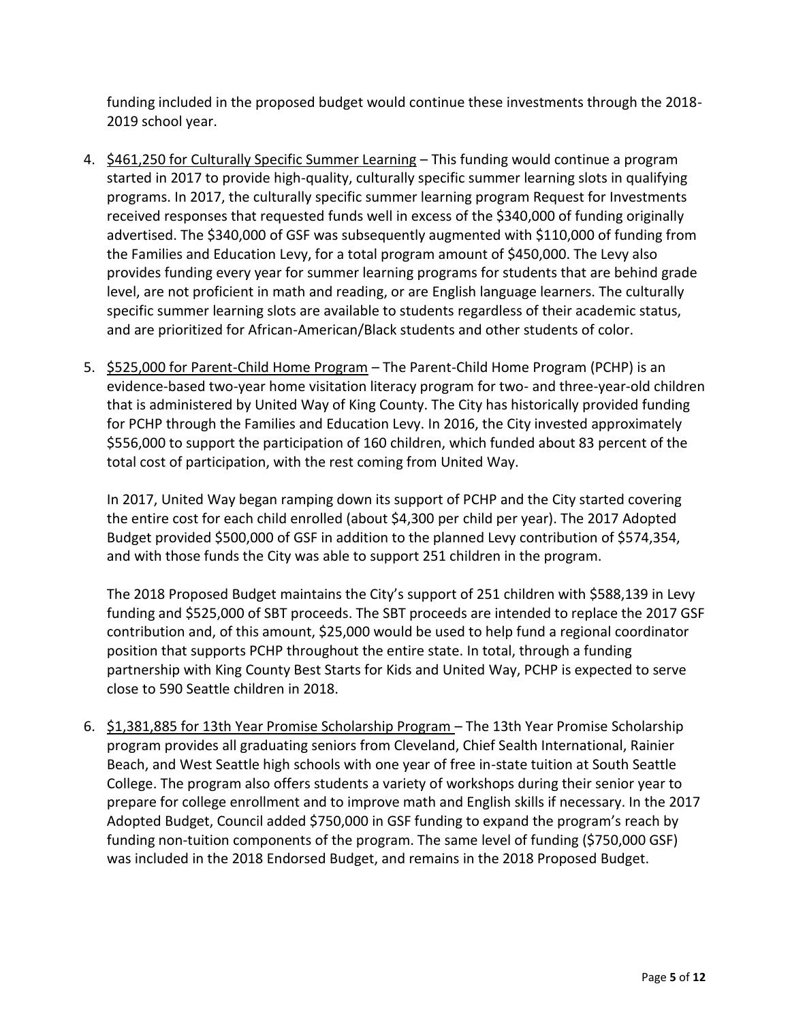funding included in the proposed budget would continue these investments through the 2018- 2019 school year.

- 4. \$461,250 for Culturally Specific Summer Learning This funding would continue a program started in 2017 to provide high-quality, culturally specific summer learning slots in qualifying programs. In 2017, the culturally specific summer learning program Request for Investments received responses that requested funds well in excess of the \$340,000 of funding originally advertised. The \$340,000 of GSF was subsequently augmented with \$110,000 of funding from the Families and Education Levy, for a total program amount of \$450,000. The Levy also provides funding every year for summer learning programs for students that are behind grade level, are not proficient in math and reading, or are English language learners. The culturally specific summer learning slots are available to students regardless of their academic status, and are prioritized for African-American/Black students and other students of color.
- 5. \$525,000 for Parent-Child Home Program The Parent-Child Home Program (PCHP) is an evidence-based two-year home visitation literacy program for two- and three-year-old children that is administered by United Way of King County. The City has historically provided funding for PCHP through the Families and Education Levy. In 2016, the City invested approximately \$556,000 to support the participation of 160 children, which funded about 83 percent of the total cost of participation, with the rest coming from United Way.

In 2017, United Way began ramping down its support of PCHP and the City started covering the entire cost for each child enrolled (about \$4,300 per child per year). The 2017 Adopted Budget provided \$500,000 of GSF in addition to the planned Levy contribution of \$574,354, and with those funds the City was able to support 251 children in the program.

The 2018 Proposed Budget maintains the City's support of 251 children with \$588,139 in Levy funding and \$525,000 of SBT proceeds. The SBT proceeds are intended to replace the 2017 GSF contribution and, of this amount, \$25,000 would be used to help fund a regional coordinator position that supports PCHP throughout the entire state. In total, through a funding partnership with King County Best Starts for Kids and United Way, PCHP is expected to serve close to 590 Seattle children in 2018.

6. \$1,381,885 for 13th Year Promise Scholarship Program – The 13th Year Promise Scholarship program provides all graduating seniors from Cleveland, Chief Sealth International, Rainier Beach, and West Seattle high schools with one year of free in-state tuition at South Seattle College. The program also offers students a variety of workshops during their senior year to prepare for college enrollment and to improve math and English skills if necessary. In the 2017 Adopted Budget, Council added \$750,000 in GSF funding to expand the program's reach by funding non-tuition components of the program. The same level of funding (\$750,000 GSF) was included in the 2018 Endorsed Budget, and remains in the 2018 Proposed Budget.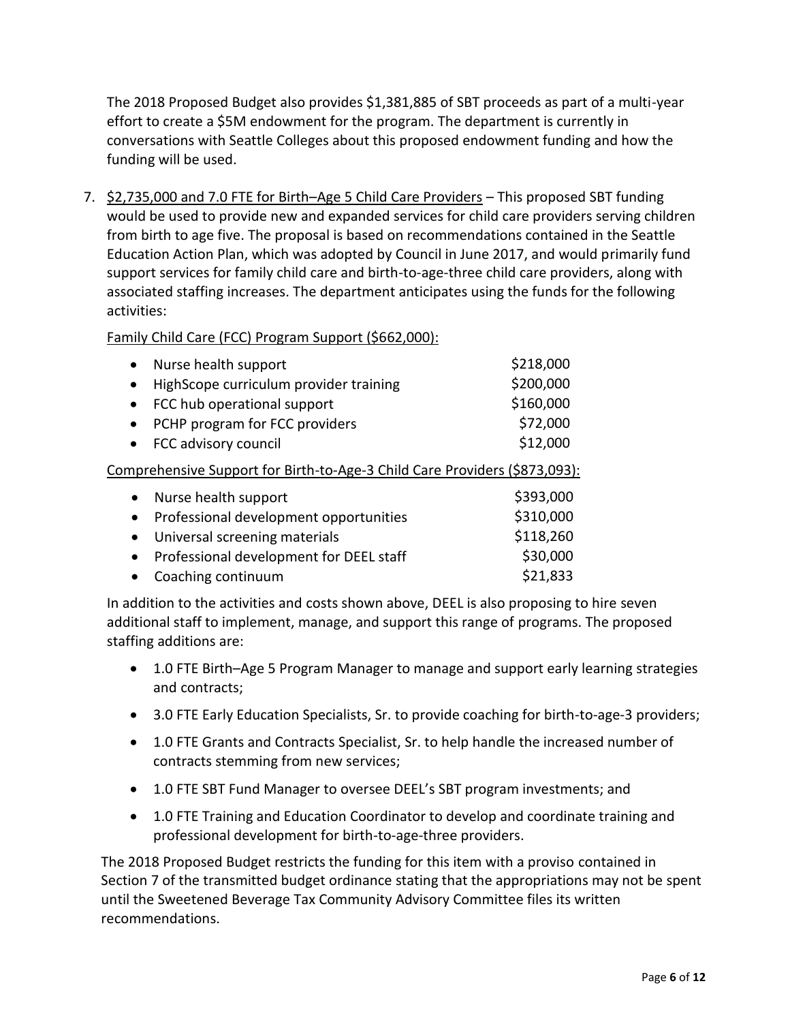The 2018 Proposed Budget also provides \$1,381,885 of SBT proceeds as part of a multi-year effort to create a \$5M endowment for the program. The department is currently in conversations with Seattle Colleges about this proposed endowment funding and how the funding will be used.

7. \$2,735,000 and 7.0 FTE for Birth–Age 5 Child Care Providers – This proposed SBT funding would be used to provide new and expanded services for child care providers serving children from birth to age five. The proposal is based on recommendations contained in the Seattle Education Action Plan, which was adopted by Council in June 2017, and would primarily fund support services for family child care and birth-to-age-three child care providers, along with associated staffing increases. The department anticipates using the funds for the following activities:

Family Child Care (FCC) Program Support (\$662,000):

| • Nurse health support                   | \$218,000 |
|------------------------------------------|-----------|
| • HighScope curriculum provider training | \$200,000 |
| • FCC hub operational support            | \$160,000 |
| • PCHP program for FCC providers         | \$72,000  |
| • FCC advisory council                   | \$12,000  |
|                                          |           |

Comprehensive Support for Birth-to-Age-3 Child Care Providers (\$873,093):

| • Nurse health support                    | \$393,000 |
|-------------------------------------------|-----------|
| • Professional development opportunities  | \$310,000 |
| • Universal screening materials           | \$118,260 |
| • Professional development for DEEL staff | \$30,000  |
| • Coaching continuum                      | \$21,833  |

In addition to the activities and costs shown above, DEEL is also proposing to hire seven additional staff to implement, manage, and support this range of programs. The proposed staffing additions are:

- 1.0 FTE Birth–Age 5 Program Manager to manage and support early learning strategies and contracts;
- 3.0 FTE Early Education Specialists, Sr. to provide coaching for birth-to-age-3 providers;
- 1.0 FTE Grants and Contracts Specialist, Sr. to help handle the increased number of contracts stemming from new services;
- 1.0 FTE SBT Fund Manager to oversee DEEL's SBT program investments; and
- 1.0 FTE Training and Education Coordinator to develop and coordinate training and professional development for birth-to-age-three providers.

The 2018 Proposed Budget restricts the funding for this item with a proviso contained in Section 7 of the transmitted budget ordinance stating that the appropriations may not be spent until the Sweetened Beverage Tax Community Advisory Committee files its written recommendations.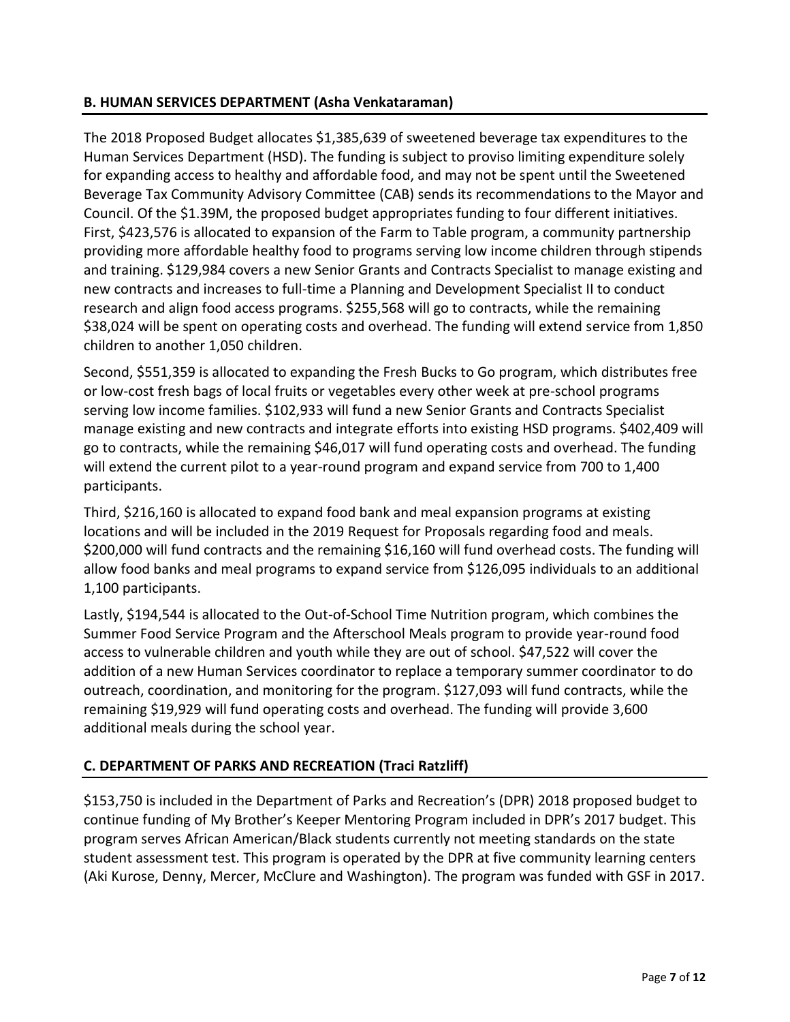## **B. HUMAN SERVICES DEPARTMENT (Asha Venkataraman)**

The 2018 Proposed Budget allocates \$1,385,639 of sweetened beverage tax expenditures to the Human Services Department (HSD). The funding is subject to proviso limiting expenditure solely for expanding access to healthy and affordable food, and may not be spent until the Sweetened Beverage Tax Community Advisory Committee (CAB) sends its recommendations to the Mayor and Council. Of the \$1.39M, the proposed budget appropriates funding to four different initiatives. First, \$423,576 is allocated to expansion of the Farm to Table program, a community partnership providing more affordable healthy food to programs serving low income children through stipends and training. \$129,984 covers a new Senior Grants and Contracts Specialist to manage existing and new contracts and increases to full-time a Planning and Development Specialist II to conduct research and align food access programs. \$255,568 will go to contracts, while the remaining \$38,024 will be spent on operating costs and overhead. The funding will extend service from 1,850 children to another 1,050 children.

Second, \$551,359 is allocated to expanding the Fresh Bucks to Go program, which distributes free or low-cost fresh bags of local fruits or vegetables every other week at pre-school programs serving low income families. \$102,933 will fund a new Senior Grants and Contracts Specialist manage existing and new contracts and integrate efforts into existing HSD programs. \$402,409 will go to contracts, while the remaining \$46,017 will fund operating costs and overhead. The funding will extend the current pilot to a year-round program and expand service from 700 to 1,400 participants.

Third, \$216,160 is allocated to expand food bank and meal expansion programs at existing locations and will be included in the 2019 Request for Proposals regarding food and meals. \$200,000 will fund contracts and the remaining \$16,160 will fund overhead costs. The funding will allow food banks and meal programs to expand service from \$126,095 individuals to an additional 1,100 participants.

Lastly, \$194,544 is allocated to the Out-of-School Time Nutrition program, which combines the Summer Food Service Program and the Afterschool Meals program to provide year-round food access to vulnerable children and youth while they are out of school. \$47,522 will cover the addition of a new Human Services coordinator to replace a temporary summer coordinator to do outreach, coordination, and monitoring for the program. \$127,093 will fund contracts, while the remaining \$19,929 will fund operating costs and overhead. The funding will provide 3,600 additional meals during the school year.

# **C. DEPARTMENT OF PARKS AND RECREATION (Traci Ratzliff)**

\$153,750 is included in the Department of Parks and Recreation's (DPR) 2018 proposed budget to continue funding of My Brother's Keeper Mentoring Program included in DPR's 2017 budget. This program serves African American/Black students currently not meeting standards on the state student assessment test. This program is operated by the DPR at five community learning centers (Aki Kurose, Denny, Mercer, McClure and Washington). The program was funded with GSF in 2017.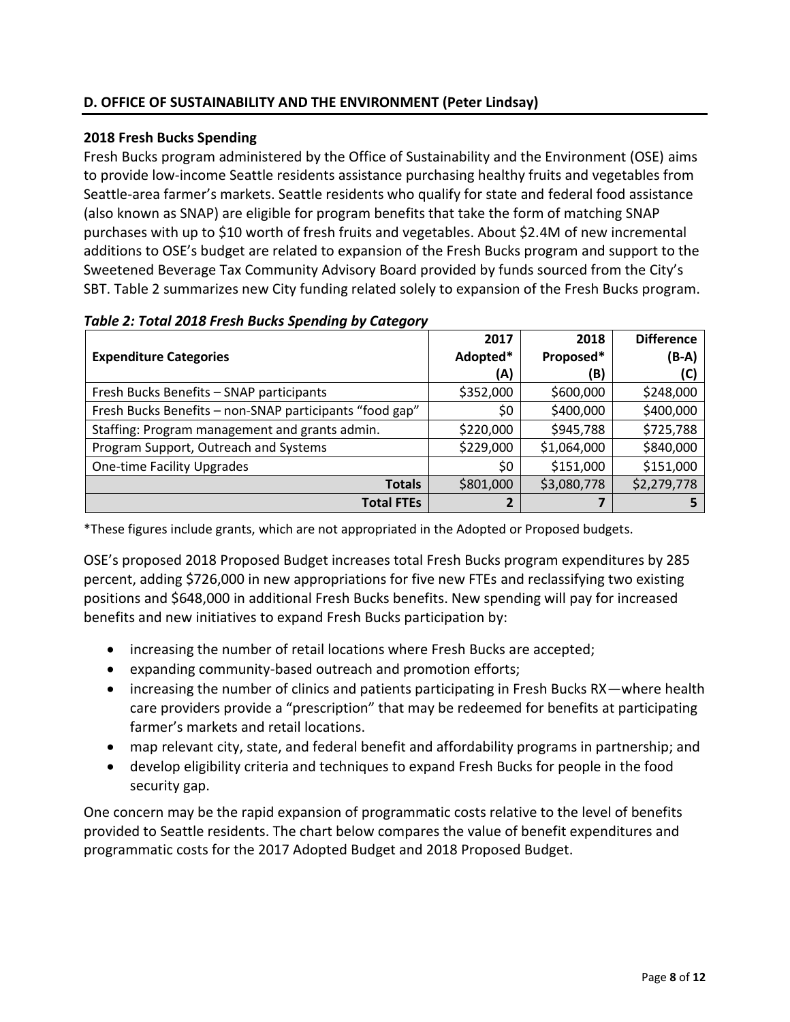# **D. OFFICE OF SUSTAINABILITY AND THE ENVIRONMENT (Peter Lindsay)**

# **2018 Fresh Bucks Spending**

Fresh Bucks program administered by the Office of Sustainability and the Environment (OSE) aims to provide low-income Seattle residents assistance purchasing healthy fruits and vegetables from Seattle-area farmer's markets. Seattle residents who qualify for state and federal food assistance (also known as SNAP) are eligible for program benefits that take the form of matching SNAP purchases with up to \$10 worth of fresh fruits and vegetables. About \$2.4M of new incremental additions to OSE's budget are related to expansion of the Fresh Bucks program and support to the Sweetened Beverage Tax Community Advisory Board provided by funds sourced from the City's SBT. Table 2 summarizes new City funding related solely to expansion of the Fresh Bucks program.

|                                                         | 2017      | 2018        | <b>Difference</b> |
|---------------------------------------------------------|-----------|-------------|-------------------|
| <b>Expenditure Categories</b>                           | Adopted*  | Proposed*   | $(B-A)$           |
|                                                         | (A)       | (B)         | (C)               |
| Fresh Bucks Benefits - SNAP participants                | \$352,000 | \$600,000   | \$248,000         |
| Fresh Bucks Benefits - non-SNAP participants "food gap" | \$0       | \$400,000   | \$400,000         |
| Staffing: Program management and grants admin.          | \$220,000 | \$945,788   | \$725,788         |
| Program Support, Outreach and Systems                   | \$229,000 | \$1,064,000 | \$840,000         |
| <b>One-time Facility Upgrades</b>                       | \$0       | \$151,000   | \$151,000         |
| <b>Totals</b>                                           | \$801,000 | \$3,080,778 | \$2,279,778       |
| <b>Total FTEs</b>                                       | 2         | 7           |                   |

#### *Table 2: Total 2018 Fresh Bucks Spending by Category*

\*These figures include grants, which are not appropriated in the Adopted or Proposed budgets.

OSE's proposed 2018 Proposed Budget increases total Fresh Bucks program expenditures by 285 percent, adding \$726,000 in new appropriations for five new FTEs and reclassifying two existing positions and \$648,000 in additional Fresh Bucks benefits. New spending will pay for increased benefits and new initiatives to expand Fresh Bucks participation by:

- increasing the number of retail locations where Fresh Bucks are accepted;
- expanding community-based outreach and promotion efforts;
- increasing the number of clinics and patients participating in Fresh Bucks RX—where health care providers provide a "prescription" that may be redeemed for benefits at participating farmer's markets and retail locations.
- map relevant city, state, and federal benefit and affordability programs in partnership; and
- develop eligibility criteria and techniques to expand Fresh Bucks for people in the food security gap.

One concern may be the rapid expansion of programmatic costs relative to the level of benefits provided to Seattle residents. The chart below compares the value of benefit expenditures and programmatic costs for the 2017 Adopted Budget and 2018 Proposed Budget.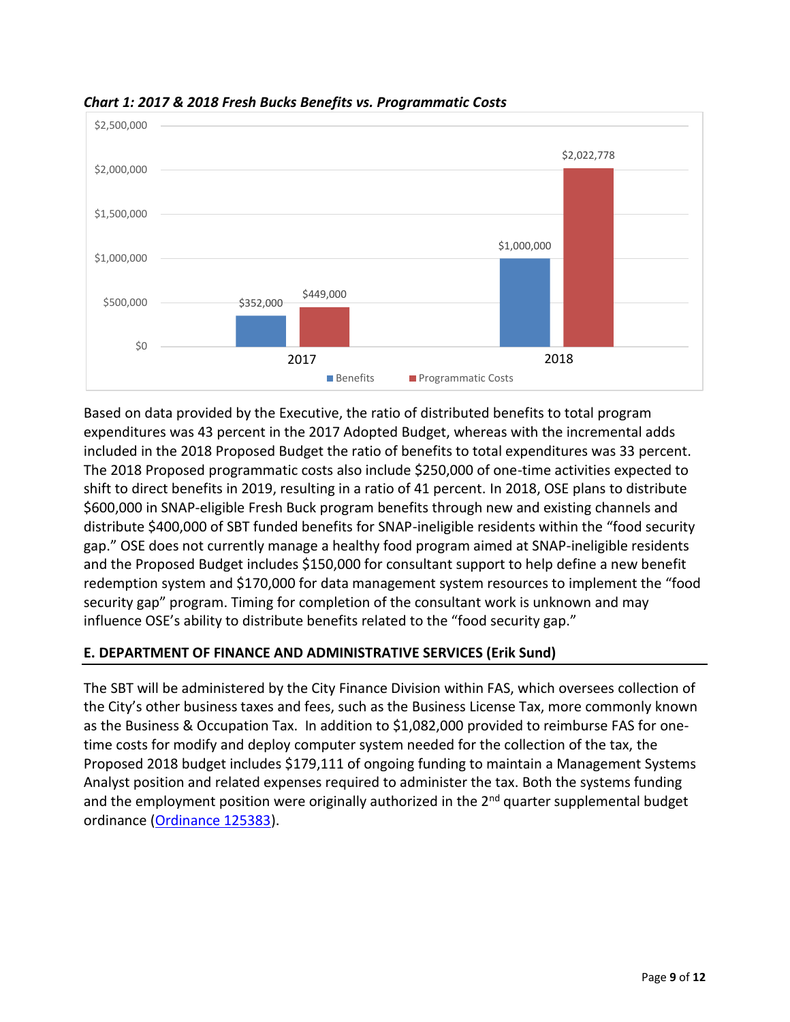

*Chart 1: 2017 & 2018 Fresh Bucks Benefits vs. Programmatic Costs*

Based on data provided by the Executive, the ratio of distributed benefits to total program expenditures was 43 percent in the 2017 Adopted Budget, whereas with the incremental adds included in the 2018 Proposed Budget the ratio of benefits to total expenditures was 33 percent. The 2018 Proposed programmatic costs also include \$250,000 of one-time activities expected to shift to direct benefits in 2019, resulting in a ratio of 41 percent. In 2018, OSE plans to distribute \$600,000 in SNAP-eligible Fresh Buck program benefits through new and existing channels and distribute \$400,000 of SBT funded benefits for SNAP-ineligible residents within the "food security gap." OSE does not currently manage a healthy food program aimed at SNAP-ineligible residents and the Proposed Budget includes \$150,000 for consultant support to help define a new benefit redemption system and \$170,000 for data management system resources to implement the "food security gap" program. Timing for completion of the consultant work is unknown and may influence OSE's ability to distribute benefits related to the "food security gap."

# **E. DEPARTMENT OF FINANCE AND ADMINISTRATIVE SERVICES (Erik Sund)**

The SBT will be administered by the City Finance Division within FAS, which oversees collection of the City's other business taxes and fees, such as the Business License Tax, more commonly known as the Business & Occupation Tax. In addition to \$1,082,000 provided to reimburse FAS for onetime costs for modify and deploy computer system needed for the collection of the tax, the Proposed 2018 budget includes \$179,111 of ongoing funding to maintain a Management Systems Analyst position and related expenses required to administer the tax. Both the systems funding and the employment position were originally authorized in the 2<sup>nd</sup> quarter supplemental budget ordinance [\(Ordinance 125383\)](https://seattle.legistar.com/LegislationDetail.aspx?ID=3098927&GUID=14C90A60-2620-4F21-8BC9-A657A4D3C3C2&Options=Advanced&Search=).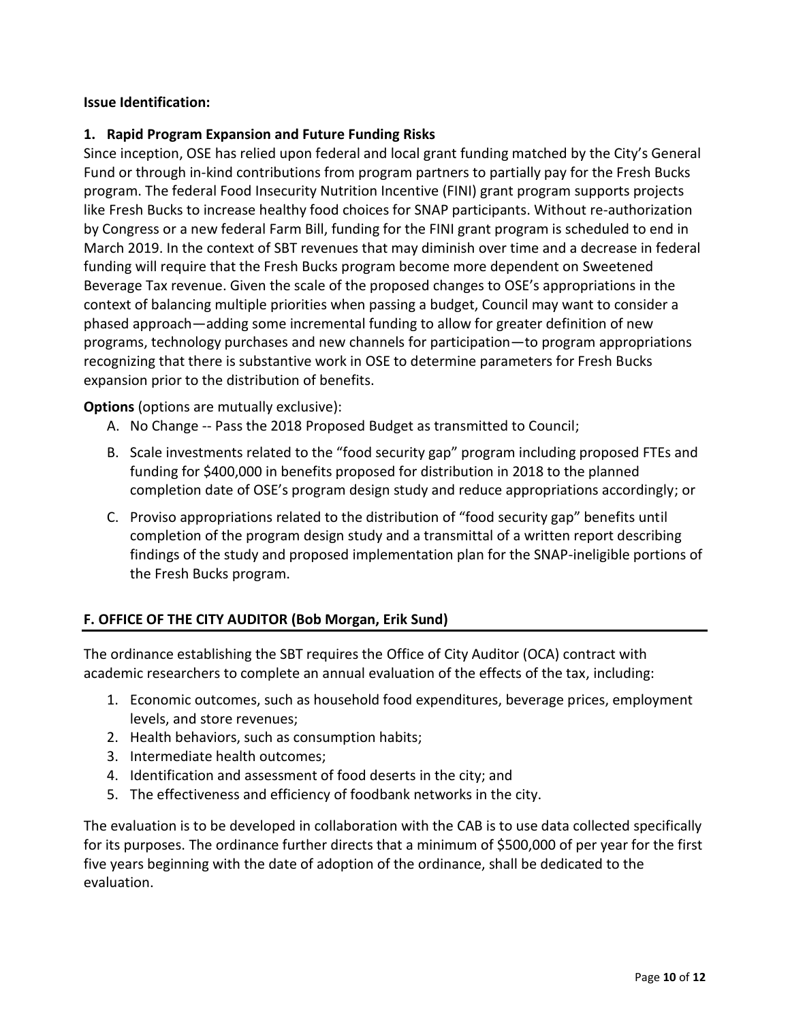## **Issue Identification:**

### **1. Rapid Program Expansion and Future Funding Risks**

Since inception, OSE has relied upon federal and local grant funding matched by the City's General Fund or through in-kind contributions from program partners to partially pay for the Fresh Bucks program. The federal Food Insecurity Nutrition Incentive (FINI) grant program supports projects like Fresh Bucks to increase healthy food choices for SNAP participants. Without re-authorization by Congress or a new federal Farm Bill, funding for the FINI grant program is scheduled to end in March 2019. In the context of SBT revenues that may diminish over time and a decrease in federal funding will require that the Fresh Bucks program become more dependent on Sweetened Beverage Tax revenue. Given the scale of the proposed changes to OSE's appropriations in the context of balancing multiple priorities when passing a budget, Council may want to consider a phased approach—adding some incremental funding to allow for greater definition of new programs, technology purchases and new channels for participation—to program appropriations recognizing that there is substantive work in OSE to determine parameters for Fresh Bucks expansion prior to the distribution of benefits.

**Options** (options are mutually exclusive):

- A. No Change -- Pass the 2018 Proposed Budget as transmitted to Council;
- B. Scale investments related to the "food security gap" program including proposed FTEs and funding for \$400,000 in benefits proposed for distribution in 2018 to the planned completion date of OSE's program design study and reduce appropriations accordingly; or
- C. Proviso appropriations related to the distribution of "food security gap" benefits until completion of the program design study and a transmittal of a written report describing findings of the study and proposed implementation plan for the SNAP-ineligible portions of the Fresh Bucks program.

# **F. OFFICE OF THE CITY AUDITOR (Bob Morgan, Erik Sund)**

The ordinance establishing the SBT requires the Office of City Auditor (OCA) contract with academic researchers to complete an annual evaluation of the effects of the tax, including:

- 1. Economic outcomes, such as household food expenditures, beverage prices, employment levels, and store revenues;
- 2. Health behaviors, such as consumption habits;
- 3. Intermediate health outcomes;
- 4. Identification and assessment of food deserts in the city; and
- 5. The effectiveness and efficiency of foodbank networks in the city.

The evaluation is to be developed in collaboration with the CAB is to use data collected specifically for its purposes. The ordinance further directs that a minimum of \$500,000 of per year for the first five years beginning with the date of adoption of the ordinance, shall be dedicated to the evaluation.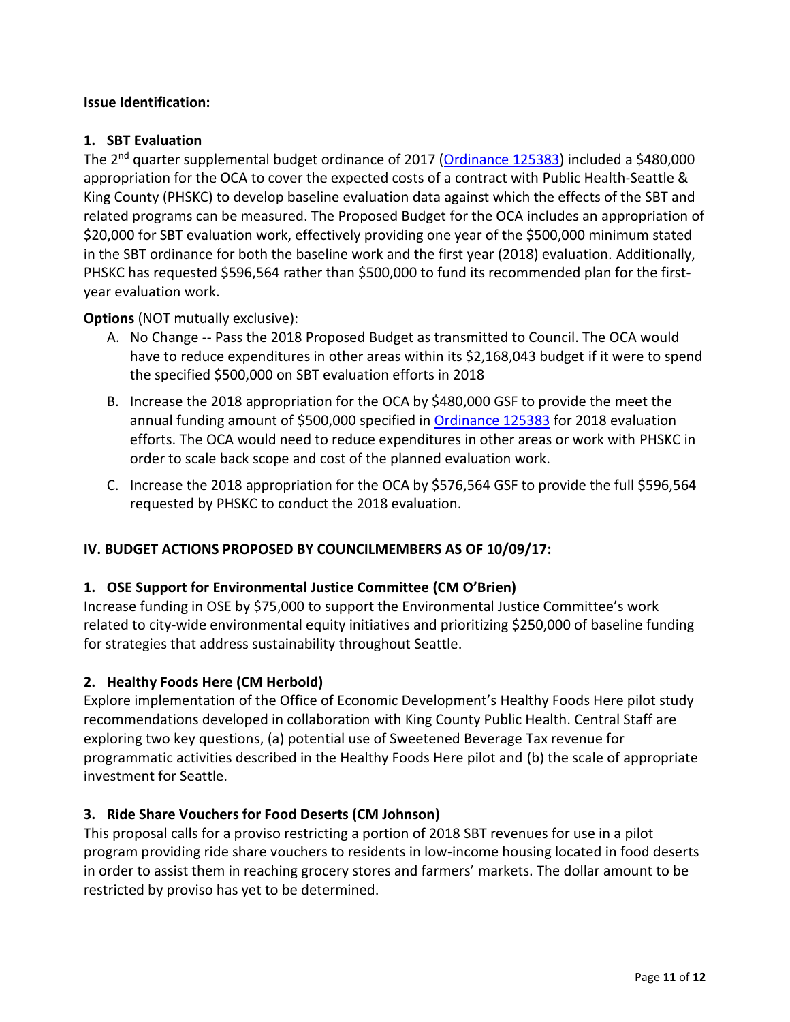## **Issue Identification:**

### **1. SBT Evaluation**

The 2<sup>nd</sup> quarter supplemental budget ordinance of 2017 [\(Ordinance 125383\)](https://seattle.legistar.com/LegislationDetail.aspx?ID=3098927&GUID=14C90A60-2620-4F21-8BC9-A657A4D3C3C2&Options=Advanced&Search=) included a \$480,000 appropriation for the OCA to cover the expected costs of a contract with Public Health-Seattle & King County (PHSKC) to develop baseline evaluation data against which the effects of the SBT and related programs can be measured. The Proposed Budget for the OCA includes an appropriation of \$20,000 for SBT evaluation work, effectively providing one year of the \$500,000 minimum stated in the SBT ordinance for both the baseline work and the first year (2018) evaluation. Additionally, PHSKC has requested \$596,564 rather than \$500,000 to fund its recommended plan for the firstyear evaluation work.

**Options** (NOT mutually exclusive):

- A. No Change -- Pass the 2018 Proposed Budget as transmitted to Council. The OCA would have to reduce expenditures in other areas within its \$2,168,043 budget if it were to spend the specified \$500,000 on SBT evaluation efforts in 2018
- B. Increase the 2018 appropriation for the OCA by \$480,000 GSF to provide the meet the annual funding amount of \$500,000 specified i[n Ordinance 125383](https://seattle.legistar.com/LegislationDetail.aspx?ID=3098927&GUID=14C90A60-2620-4F21-8BC9-A657A4D3C3C2&Options=Advanced&Search=) for 2018 evaluation efforts. The OCA would need to reduce expenditures in other areas or work with PHSKC in order to scale back scope and cost of the planned evaluation work.
- C. Increase the 2018 appropriation for the OCA by \$576,564 GSF to provide the full \$596,564 requested by PHSKC to conduct the 2018 evaluation.

# **IV. BUDGET ACTIONS PROPOSED BY COUNCILMEMBERS AS OF 10/09/17:**

### **1. OSE Support for Environmental Justice Committee (CM O'Brien)**

Increase funding in OSE by \$75,000 to support the Environmental Justice Committee's work related to city-wide environmental equity initiatives and prioritizing \$250,000 of baseline funding for strategies that address sustainability throughout Seattle.

### **2. Healthy Foods Here (CM Herbold)**

Explore implementation of the Office of Economic Development's Healthy Foods Here pilot study recommendations developed in collaboration with King County Public Health. Central Staff are exploring two key questions, (a) potential use of Sweetened Beverage Tax revenue for programmatic activities described in the Healthy Foods Here pilot and (b) the scale of appropriate investment for Seattle.

### **3. Ride Share Vouchers for Food Deserts (CM Johnson)**

This proposal calls for a proviso restricting a portion of 2018 SBT revenues for use in a pilot program providing ride share vouchers to residents in low-income housing located in food deserts in order to assist them in reaching grocery stores and farmers' markets. The dollar amount to be restricted by proviso has yet to be determined.